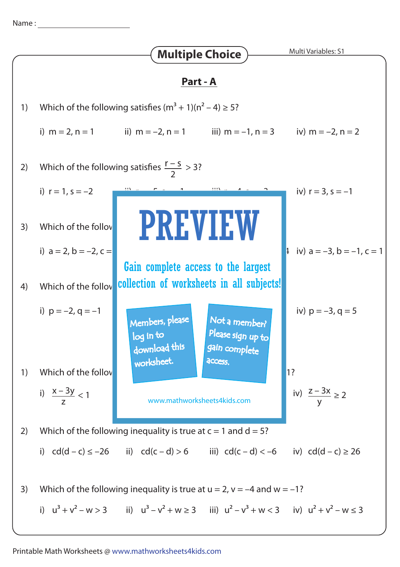